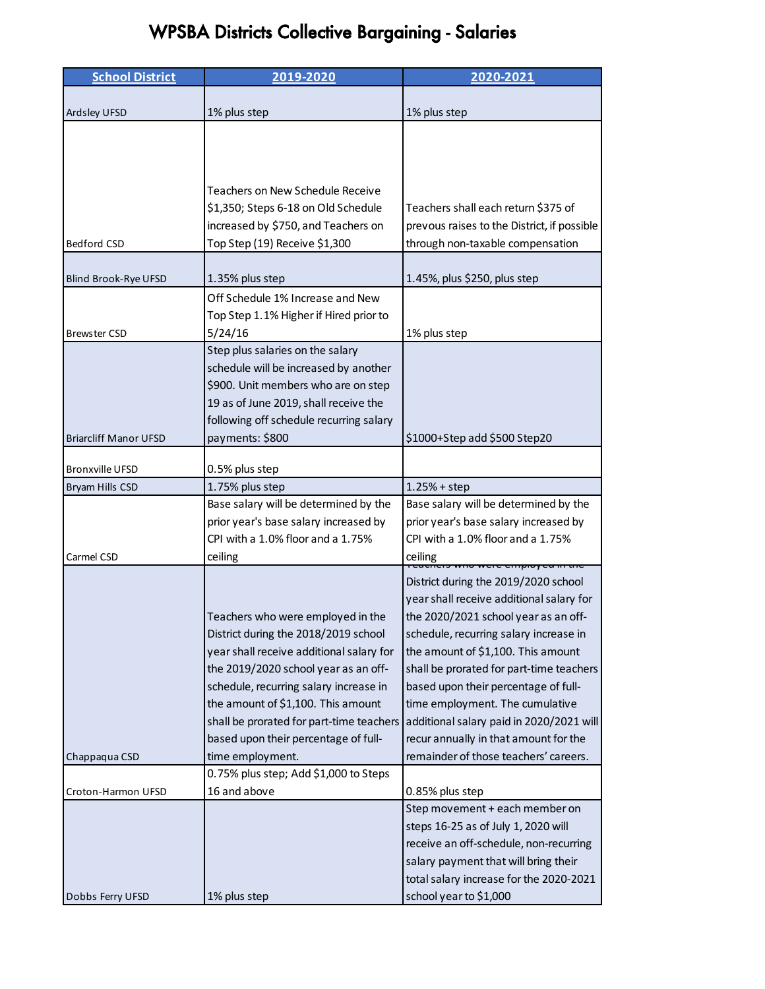## WPSBA Districts Collective Bargaining - Salaries

| <b>School District</b>       | 2019-2020                                                 | 2020-2021                                                                      |
|------------------------------|-----------------------------------------------------------|--------------------------------------------------------------------------------|
|                              |                                                           |                                                                                |
| Ardsley UFSD                 | 1% plus step                                              | 1% plus step                                                                   |
|                              |                                                           |                                                                                |
|                              |                                                           |                                                                                |
|                              |                                                           |                                                                                |
|                              | Teachers on New Schedule Receive                          |                                                                                |
|                              | \$1,350; Steps 6-18 on Old Schedule                       | Teachers shall each return \$375 of                                            |
|                              | increased by \$750, and Teachers on                       | prevous raises to the District, if possible                                    |
| <b>Bedford CSD</b>           | Top Step (19) Receive \$1,300                             | through non-taxable compensation                                               |
|                              |                                                           |                                                                                |
| <b>Blind Brook-Rye UFSD</b>  | 1.35% plus step                                           | 1.45%, plus \$250, plus step                                                   |
|                              | Off Schedule 1% Increase and New                          |                                                                                |
|                              | Top Step 1.1% Higher if Hired prior to                    |                                                                                |
| <b>Brewster CSD</b>          | 5/24/16                                                   | 1% plus step                                                                   |
|                              | Step plus salaries on the salary                          |                                                                                |
|                              | schedule will be increased by another                     |                                                                                |
|                              | \$900. Unit members who are on step                       |                                                                                |
|                              | 19 as of June 2019, shall receive the                     |                                                                                |
|                              | following off schedule recurring salary                   |                                                                                |
| <b>Briarcliff Manor UFSD</b> | payments: \$800                                           | \$1000+Step add \$500 Step20                                                   |
|                              |                                                           |                                                                                |
| <b>Bronxville UFSD</b>       | 0.5% plus step                                            |                                                                                |
| Bryam Hills CSD              | 1.75% plus step<br>Base salary will be determined by the  | $1.25% + step$<br>Base salary will be determined by the                        |
|                              | prior year's base salary increased by                     | prior year's base salary increased by                                          |
|                              | CPI with a 1.0% floor and a 1.75%                         | CPI with a 1.0% floor and a 1.75%                                              |
| Carmel CSD                   | ceiling                                                   | ceiling                                                                        |
|                              |                                                           | ס איווט איכוכ כוווףוטץ כמוודמוכ                                                |
|                              |                                                           | District during the 2019/2020 school                                           |
|                              |                                                           | year shall receive additional salary for                                       |
|                              | Teachers who were employed in the                         | the 2020/2021 school year as an off-                                           |
|                              | District during the 2018/2019 school                      | schedule, recurring salary increase in                                         |
|                              | year shall receive additional salary for                  | the amount of \$1,100. This amount                                             |
|                              | the 2019/2020 school year as an off-                      | shall be prorated for part-time teachers                                       |
|                              | schedule, recurring salary increase in                    | based upon their percentage of full-                                           |
|                              | the amount of \$1,100. This amount                        | time employment. The cumulative                                                |
|                              | shall be prorated for part-time teachers                  | additional salary paid in 2020/2021 will                                       |
|                              | based upon their percentage of full-                      | recur annually in that amount for the<br>remainder of those teachers' careers. |
| Chappaqua CSD                | time employment.<br>0.75% plus step; Add \$1,000 to Steps |                                                                                |
| Croton-Harmon UFSD           | 16 and above                                              | 0.85% plus step                                                                |
|                              |                                                           | Step movement + each member on                                                 |
|                              |                                                           | steps 16-25 as of July 1, 2020 will                                            |
|                              |                                                           | receive an off-schedule, non-recurring                                         |
|                              |                                                           | salary payment that will bring their                                           |
|                              |                                                           | total salary increase for the 2020-2021                                        |
| Dobbs Ferry UFSD             | 1% plus step                                              | school year to \$1,000                                                         |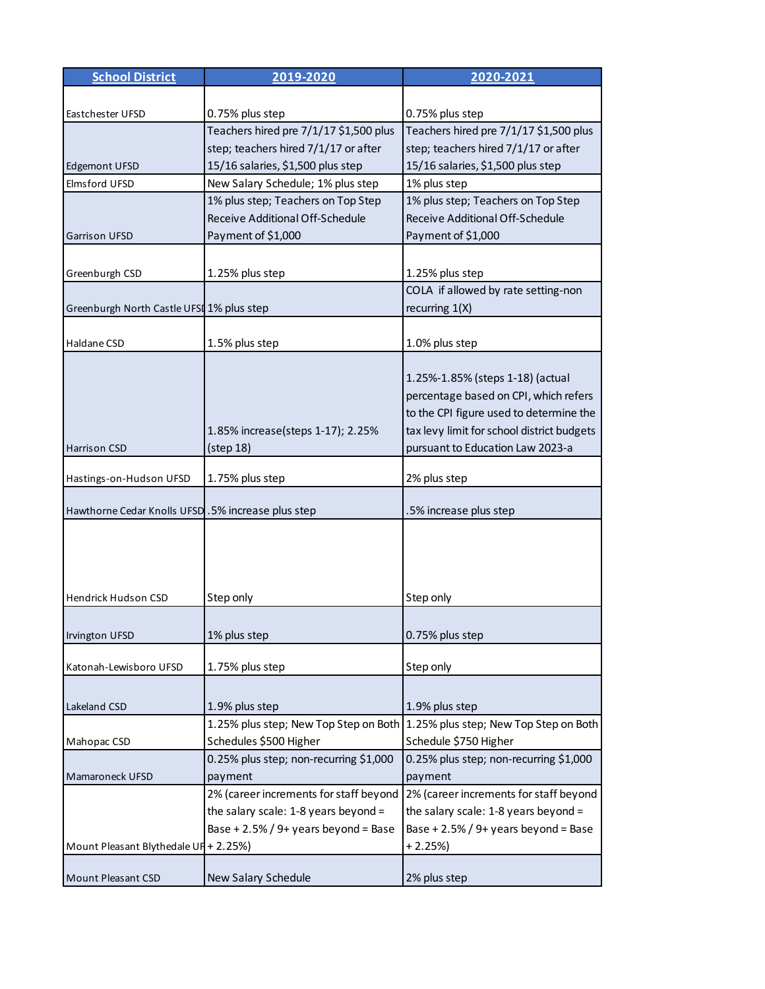| <b>School District</b>                             | 2019-2020                              | 2020-2021                                                                   |
|----------------------------------------------------|----------------------------------------|-----------------------------------------------------------------------------|
|                                                    |                                        |                                                                             |
| Eastchester UFSD                                   | 0.75% plus step                        | 0.75% plus step                                                             |
|                                                    | Teachers hired pre 7/1/17 \$1,500 plus | Teachers hired pre 7/1/17 \$1,500 plus                                      |
|                                                    | step; teachers hired 7/1/17 or after   | step; teachers hired 7/1/17 or after                                        |
| Edgemont UFSD                                      | 15/16 salaries, \$1,500 plus step      | 15/16 salaries, \$1,500 plus step                                           |
| Elmsford UFSD                                      | New Salary Schedule; 1% plus step      | 1% plus step                                                                |
|                                                    | 1% plus step; Teachers on Top Step     | 1% plus step; Teachers on Top Step                                          |
|                                                    | Receive Additional Off-Schedule        | Receive Additional Off-Schedule                                             |
| <b>Garrison UFSD</b>                               | Payment of \$1,000                     | Payment of \$1,000                                                          |
|                                                    |                                        |                                                                             |
| Greenburgh CSD                                     | 1.25% plus step                        | 1.25% plus step                                                             |
|                                                    |                                        | COLA if allowed by rate setting-non                                         |
| Greenburgh North Castle UFSI 1% plus step          |                                        | recurring $1(X)$                                                            |
|                                                    |                                        |                                                                             |
| Haldane CSD                                        | 1.5% plus step                         | 1.0% plus step                                                              |
|                                                    |                                        |                                                                             |
|                                                    |                                        | 1.25%-1.85% (steps 1-18) (actual                                            |
|                                                    |                                        | percentage based on CPI, which refers                                       |
|                                                    |                                        | to the CPI figure used to determine the                                     |
|                                                    | 1.85% increase(steps 1-17); 2.25%      | tax levy limit for school district budgets                                  |
| <b>Harrison CSD</b>                                | (step 18)                              | pursuant to Education Law 2023-a                                            |
|                                                    |                                        |                                                                             |
| Hastings-on-Hudson UFSD                            | 1.75% plus step                        | 2% plus step                                                                |
|                                                    |                                        |                                                                             |
| Hawthorne Cedar Knolls UFSD .5% increase plus step |                                        | .5% increase plus step                                                      |
|                                                    |                                        |                                                                             |
|                                                    |                                        |                                                                             |
|                                                    |                                        |                                                                             |
|                                                    |                                        |                                                                             |
| <b>Hendrick Hudson CSD</b>                         | Step only                              | Step only                                                                   |
|                                                    |                                        |                                                                             |
| Irvington UFSD                                     | 1% plus step                           | 0.75% plus step                                                             |
|                                                    |                                        |                                                                             |
| Katonah-Lewisboro UFSD                             | 1.75% plus step                        | Step only                                                                   |
|                                                    |                                        |                                                                             |
| Lakeland CSD                                       | 1.9% plus step                         | 1.9% plus step                                                              |
|                                                    |                                        | 1.25% plus step; New Top Step on Both 1.25% plus step; New Top Step on Both |
| Mahopac CSD                                        | Schedules \$500 Higher                 | Schedule \$750 Higher                                                       |
|                                                    | 0.25% plus step; non-recurring \$1,000 | 0.25% plus step; non-recurring \$1,000                                      |
| Mamaroneck UFSD                                    | payment                                | payment                                                                     |
|                                                    | 2% (career increments for staff beyond | 2% (career increments for staff beyond                                      |
|                                                    | the salary scale: 1-8 years beyond =   | the salary scale: 1-8 years beyond =                                        |
|                                                    | Base + 2.5% / 9+ years beyond = Base   | Base + 2.5% / 9+ years beyond = Base                                        |
| Mount Pleasant Blythedale UF + 2.25%)              |                                        | $+2.25%$                                                                    |
|                                                    |                                        |                                                                             |
| Mount Pleasant CSD                                 | New Salary Schedule                    | 2% plus step                                                                |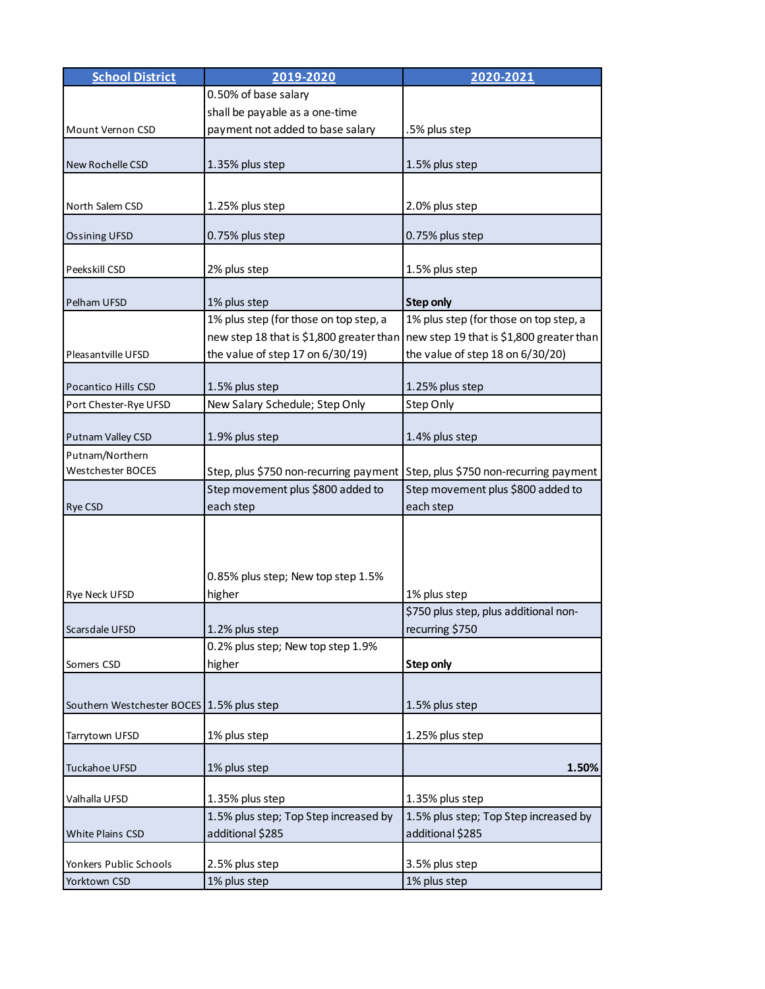| <b>School District</b>                    | 2019-2020                              | 2020-2021                                                                         |
|-------------------------------------------|----------------------------------------|-----------------------------------------------------------------------------------|
|                                           | 0.50% of base salary                   |                                                                                   |
|                                           | shall be payable as a one-time         |                                                                                   |
| Mount Vernon CSD                          | payment not added to base salary       | .5% plus step                                                                     |
|                                           |                                        |                                                                                   |
| New Rochelle CSD                          | 1.35% plus step                        | 1.5% plus step                                                                    |
|                                           |                                        |                                                                                   |
| North Salem CSD                           | 1.25% plus step                        | 2.0% plus step                                                                    |
|                                           |                                        |                                                                                   |
| <b>Ossining UFSD</b>                      | 0.75% plus step                        | 0.75% plus step                                                                   |
|                                           |                                        |                                                                                   |
| Peekskill CSD                             | 2% plus step                           | 1.5% plus step                                                                    |
|                                           |                                        |                                                                                   |
| Pelham UFSD                               | 1% plus step                           | <b>Step only</b>                                                                  |
|                                           | 1% plus step (for those on top step, a | 1% plus step (for those on top step, a                                            |
|                                           |                                        | new step 18 that is \$1,800 greater than new step 19 that is \$1,800 greater than |
| Pleasantville UFSD                        | the value of step 17 on 6/30/19)       | the value of step 18 on 6/30/20)                                                  |
|                                           |                                        |                                                                                   |
| <b>Pocantico Hills CSD</b>                | 1.5% plus step                         | 1.25% plus step                                                                   |
| Port Chester-Rye UFSD                     | New Salary Schedule; Step Only         | Step Only                                                                         |
| Putnam Valley CSD                         | 1.9% plus step                         | 1.4% plus step                                                                    |
| Putnam/Northern                           |                                        |                                                                                   |
| Westchester BOCES                         |                                        | Step, plus \$750 non-recurring payment Step, plus \$750 non-recurring payment     |
|                                           | Step movement plus \$800 added to      | Step movement plus \$800 added to                                                 |
| Rye CSD                                   | each step                              | each step                                                                         |
|                                           |                                        |                                                                                   |
|                                           |                                        |                                                                                   |
|                                           |                                        |                                                                                   |
|                                           | 0.85% plus step; New top step 1.5%     |                                                                                   |
| Rye Neck UFSD                             | higher                                 | 1% plus step                                                                      |
|                                           |                                        | \$750 plus step, plus additional non-                                             |
| Scarsdale UFSD                            | 1.2% plus step                         | recurring \$750                                                                   |
|                                           | 0.2% plus step; New top step 1.9%      |                                                                                   |
| Somers CSD                                | higher                                 | Step only                                                                         |
|                                           |                                        |                                                                                   |
|                                           |                                        |                                                                                   |
| Southern Westchester BOCES 1.5% plus step |                                        | 1.5% plus step                                                                    |
| Tarrytown UFSD                            | 1% plus step                           | 1.25% plus step                                                                   |
|                                           |                                        |                                                                                   |
| Tuckahoe UFSD                             | 1% plus step                           | 1.50%                                                                             |
|                                           |                                        |                                                                                   |
| Valhalla UFSD                             | 1.35% plus step                        | 1.35% plus step                                                                   |
|                                           | 1.5% plus step; Top Step increased by  | 1.5% plus step; Top Step increased by                                             |
| White Plains CSD                          | additional \$285                       | additional \$285                                                                  |
|                                           |                                        |                                                                                   |
| Yonkers Public Schools                    | 2.5% plus step                         | 3.5% plus step                                                                    |
| Yorktown CSD                              | 1% plus step                           | 1% plus step                                                                      |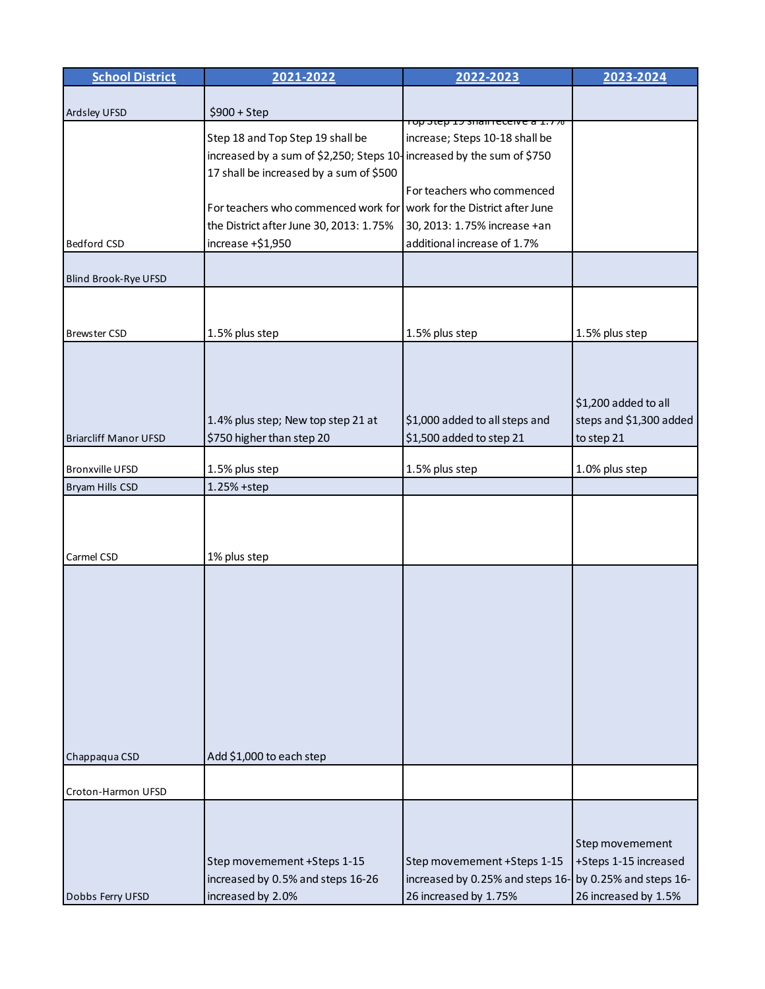| Ardsley UFSD<br>$$900 + Step$<br><del>TOP Step IS Sham receive a 1.778</del><br>Step 18 and Top Step 19 shall be<br>increase; Steps 10-18 shall be<br>increased by a sum of \$2,250; Steps 10-increased by the sum of \$750<br>17 shall be increased by a sum of \$500<br>For teachers who commenced<br>For teachers who commenced work for work for the District after June<br>the District after June 30, 2013: 1.75%<br>30, 2013: 1.75% increase +an<br>increase $+ $1,950$<br>additional increase of 1.7%<br>Bedford CSD<br>Blind Brook-Rye UFSD<br>1.5% plus step<br>1.5% plus step<br>1.5% plus step<br><b>Brewster CSD</b><br>\$1,200 added to all<br>1.4% plus step; New top step 21 at<br>\$1,000 added to all steps and<br>steps and \$1,300 added<br>\$750 higher than step 20<br>\$1,500 added to step 21<br>to step 21<br><b>Briarcliff Manor UFSD</b><br>1.5% plus step<br>1.5% plus step<br>1.0% plus step<br><b>Bronxville UFSD</b><br>Bryam Hills CSD<br>1.25% +step<br>1% plus step<br>Carmel CSD | <b>School District</b> | 2021-2022 | 2022-2023 | 2023-2024 |
|---------------------------------------------------------------------------------------------------------------------------------------------------------------------------------------------------------------------------------------------------------------------------------------------------------------------------------------------------------------------------------------------------------------------------------------------------------------------------------------------------------------------------------------------------------------------------------------------------------------------------------------------------------------------------------------------------------------------------------------------------------------------------------------------------------------------------------------------------------------------------------------------------------------------------------------------------------------------------------------------------------------------|------------------------|-----------|-----------|-----------|
|                                                                                                                                                                                                                                                                                                                                                                                                                                                                                                                                                                                                                                                                                                                                                                                                                                                                                                                                                                                                                     |                        |           |           |           |
|                                                                                                                                                                                                                                                                                                                                                                                                                                                                                                                                                                                                                                                                                                                                                                                                                                                                                                                                                                                                                     |                        |           |           |           |
|                                                                                                                                                                                                                                                                                                                                                                                                                                                                                                                                                                                                                                                                                                                                                                                                                                                                                                                                                                                                                     |                        |           |           |           |
|                                                                                                                                                                                                                                                                                                                                                                                                                                                                                                                                                                                                                                                                                                                                                                                                                                                                                                                                                                                                                     |                        |           |           |           |
|                                                                                                                                                                                                                                                                                                                                                                                                                                                                                                                                                                                                                                                                                                                                                                                                                                                                                                                                                                                                                     |                        |           |           |           |
|                                                                                                                                                                                                                                                                                                                                                                                                                                                                                                                                                                                                                                                                                                                                                                                                                                                                                                                                                                                                                     |                        |           |           |           |
|                                                                                                                                                                                                                                                                                                                                                                                                                                                                                                                                                                                                                                                                                                                                                                                                                                                                                                                                                                                                                     |                        |           |           |           |
|                                                                                                                                                                                                                                                                                                                                                                                                                                                                                                                                                                                                                                                                                                                                                                                                                                                                                                                                                                                                                     |                        |           |           |           |
|                                                                                                                                                                                                                                                                                                                                                                                                                                                                                                                                                                                                                                                                                                                                                                                                                                                                                                                                                                                                                     |                        |           |           |           |
|                                                                                                                                                                                                                                                                                                                                                                                                                                                                                                                                                                                                                                                                                                                                                                                                                                                                                                                                                                                                                     |                        |           |           |           |
|                                                                                                                                                                                                                                                                                                                                                                                                                                                                                                                                                                                                                                                                                                                                                                                                                                                                                                                                                                                                                     |                        |           |           |           |
|                                                                                                                                                                                                                                                                                                                                                                                                                                                                                                                                                                                                                                                                                                                                                                                                                                                                                                                                                                                                                     |                        |           |           |           |
|                                                                                                                                                                                                                                                                                                                                                                                                                                                                                                                                                                                                                                                                                                                                                                                                                                                                                                                                                                                                                     |                        |           |           |           |
|                                                                                                                                                                                                                                                                                                                                                                                                                                                                                                                                                                                                                                                                                                                                                                                                                                                                                                                                                                                                                     |                        |           |           |           |
|                                                                                                                                                                                                                                                                                                                                                                                                                                                                                                                                                                                                                                                                                                                                                                                                                                                                                                                                                                                                                     |                        |           |           |           |
|                                                                                                                                                                                                                                                                                                                                                                                                                                                                                                                                                                                                                                                                                                                                                                                                                                                                                                                                                                                                                     |                        |           |           |           |
|                                                                                                                                                                                                                                                                                                                                                                                                                                                                                                                                                                                                                                                                                                                                                                                                                                                                                                                                                                                                                     |                        |           |           |           |
|                                                                                                                                                                                                                                                                                                                                                                                                                                                                                                                                                                                                                                                                                                                                                                                                                                                                                                                                                                                                                     |                        |           |           |           |
|                                                                                                                                                                                                                                                                                                                                                                                                                                                                                                                                                                                                                                                                                                                                                                                                                                                                                                                                                                                                                     |                        |           |           |           |
|                                                                                                                                                                                                                                                                                                                                                                                                                                                                                                                                                                                                                                                                                                                                                                                                                                                                                                                                                                                                                     |                        |           |           |           |
|                                                                                                                                                                                                                                                                                                                                                                                                                                                                                                                                                                                                                                                                                                                                                                                                                                                                                                                                                                                                                     |                        |           |           |           |
|                                                                                                                                                                                                                                                                                                                                                                                                                                                                                                                                                                                                                                                                                                                                                                                                                                                                                                                                                                                                                     |                        |           |           |           |
|                                                                                                                                                                                                                                                                                                                                                                                                                                                                                                                                                                                                                                                                                                                                                                                                                                                                                                                                                                                                                     |                        |           |           |           |
|                                                                                                                                                                                                                                                                                                                                                                                                                                                                                                                                                                                                                                                                                                                                                                                                                                                                                                                                                                                                                     |                        |           |           |           |
|                                                                                                                                                                                                                                                                                                                                                                                                                                                                                                                                                                                                                                                                                                                                                                                                                                                                                                                                                                                                                     |                        |           |           |           |
|                                                                                                                                                                                                                                                                                                                                                                                                                                                                                                                                                                                                                                                                                                                                                                                                                                                                                                                                                                                                                     |                        |           |           |           |
|                                                                                                                                                                                                                                                                                                                                                                                                                                                                                                                                                                                                                                                                                                                                                                                                                                                                                                                                                                                                                     |                        |           |           |           |
|                                                                                                                                                                                                                                                                                                                                                                                                                                                                                                                                                                                                                                                                                                                                                                                                                                                                                                                                                                                                                     |                        |           |           |           |
|                                                                                                                                                                                                                                                                                                                                                                                                                                                                                                                                                                                                                                                                                                                                                                                                                                                                                                                                                                                                                     |                        |           |           |           |
|                                                                                                                                                                                                                                                                                                                                                                                                                                                                                                                                                                                                                                                                                                                                                                                                                                                                                                                                                                                                                     |                        |           |           |           |
|                                                                                                                                                                                                                                                                                                                                                                                                                                                                                                                                                                                                                                                                                                                                                                                                                                                                                                                                                                                                                     |                        |           |           |           |
|                                                                                                                                                                                                                                                                                                                                                                                                                                                                                                                                                                                                                                                                                                                                                                                                                                                                                                                                                                                                                     |                        |           |           |           |
|                                                                                                                                                                                                                                                                                                                                                                                                                                                                                                                                                                                                                                                                                                                                                                                                                                                                                                                                                                                                                     |                        |           |           |           |
|                                                                                                                                                                                                                                                                                                                                                                                                                                                                                                                                                                                                                                                                                                                                                                                                                                                                                                                                                                                                                     |                        |           |           |           |
| Add \$1,000 to each step<br>Chappaqua CSD                                                                                                                                                                                                                                                                                                                                                                                                                                                                                                                                                                                                                                                                                                                                                                                                                                                                                                                                                                           |                        |           |           |           |
|                                                                                                                                                                                                                                                                                                                                                                                                                                                                                                                                                                                                                                                                                                                                                                                                                                                                                                                                                                                                                     |                        |           |           |           |
| Croton-Harmon UFSD                                                                                                                                                                                                                                                                                                                                                                                                                                                                                                                                                                                                                                                                                                                                                                                                                                                                                                                                                                                                  |                        |           |           |           |
|                                                                                                                                                                                                                                                                                                                                                                                                                                                                                                                                                                                                                                                                                                                                                                                                                                                                                                                                                                                                                     |                        |           |           |           |
|                                                                                                                                                                                                                                                                                                                                                                                                                                                                                                                                                                                                                                                                                                                                                                                                                                                                                                                                                                                                                     |                        |           |           |           |
| Step movemement<br>Step movemement +Steps 1-15<br>Step movemement +Steps 1-15<br>+Steps 1-15 increased                                                                                                                                                                                                                                                                                                                                                                                                                                                                                                                                                                                                                                                                                                                                                                                                                                                                                                              |                        |           |           |           |
| increased by 0.5% and steps 16-26<br>increased by 0.25% and steps 16-<br>by 0.25% and steps 16-                                                                                                                                                                                                                                                                                                                                                                                                                                                                                                                                                                                                                                                                                                                                                                                                                                                                                                                     |                        |           |           |           |
| increased by 2.0%<br>26 increased by 1.75%<br>26 increased by 1.5%<br>Dobbs Ferry UFSD                                                                                                                                                                                                                                                                                                                                                                                                                                                                                                                                                                                                                                                                                                                                                                                                                                                                                                                              |                        |           |           |           |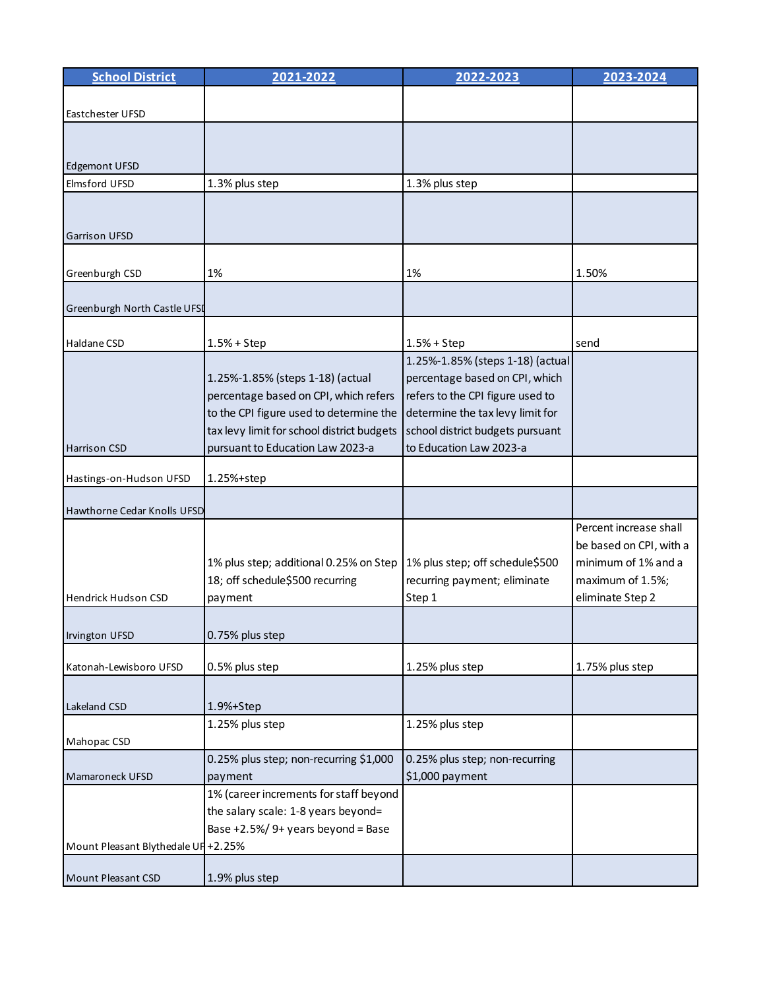| <b>School District</b>              | 2021-2022                                  | 2022-2023                        | 2023-2024               |
|-------------------------------------|--------------------------------------------|----------------------------------|-------------------------|
|                                     |                                            |                                  |                         |
| Eastchester UFSD                    |                                            |                                  |                         |
|                                     |                                            |                                  |                         |
|                                     |                                            |                                  |                         |
| <b>Edgemont UFSD</b>                |                                            |                                  |                         |
| <b>Elmsford UFSD</b>                | 1.3% plus step                             | 1.3% plus step                   |                         |
|                                     |                                            |                                  |                         |
| <b>Garrison UFSD</b>                |                                            |                                  |                         |
|                                     |                                            |                                  |                         |
| Greenburgh CSD                      | 1%                                         | 1%                               | 1.50%                   |
|                                     |                                            |                                  |                         |
| Greenburgh North Castle UFSI        |                                            |                                  |                         |
|                                     |                                            |                                  |                         |
| Haldane CSD                         | $1.5% + Step$                              | $1.5% + Step$                    | send                    |
|                                     |                                            | 1.25%-1.85% (steps 1-18) (actual |                         |
|                                     | 1.25%-1.85% (steps 1-18) (actual           | percentage based on CPI, which   |                         |
|                                     | percentage based on CPI, which refers      | refers to the CPI figure used to |                         |
|                                     | to the CPI figure used to determine the    | determine the tax levy limit for |                         |
|                                     | tax levy limit for school district budgets | school district budgets pursuant |                         |
| Harrison CSD                        | pursuant to Education Law 2023-a           | to Education Law 2023-a          |                         |
|                                     |                                            |                                  |                         |
| Hastings-on-Hudson UFSD             | 1.25%+step                                 |                                  |                         |
| <b>Hawthorne Cedar Knolls UFSD</b>  |                                            |                                  |                         |
|                                     |                                            |                                  | Percent increase shall  |
|                                     |                                            |                                  | be based on CPI, with a |
|                                     | 1% plus step; additional 0.25% on Step     | 1% plus step; off schedule\$500  | minimum of 1% and a     |
|                                     | 18; off schedule\$500 recurring            | recurring payment; eliminate     | maximum of 1.5%;        |
| Hendrick Hudson CSD                 | payment                                    | Step 1                           | eliminate Step 2        |
|                                     |                                            |                                  |                         |
| Irvington UFSD                      | 0.75% plus step                            |                                  |                         |
|                                     |                                            |                                  |                         |
| Katonah-Lewisboro UFSD              | 0.5% plus step                             | 1.25% plus step                  | 1.75% plus step         |
|                                     |                                            |                                  |                         |
| Lakeland CSD                        | 1.9%+Step                                  |                                  |                         |
|                                     | 1.25% plus step                            | 1.25% plus step                  |                         |
| Mahopac CSD                         |                                            |                                  |                         |
|                                     | 0.25% plus step; non-recurring \$1,000     | 0.25% plus step; non-recurring   |                         |
| Mamaroneck UFSD                     | payment                                    | \$1,000 payment                  |                         |
|                                     | 1% (career increments for staff beyond     |                                  |                         |
|                                     | the salary scale: 1-8 years beyond=        |                                  |                         |
|                                     | Base +2.5%/ 9+ years beyond = Base         |                                  |                         |
| Mount Pleasant Blythedale UF +2.25% |                                            |                                  |                         |
| Mount Pleasant CSD                  | 1.9% plus step                             |                                  |                         |